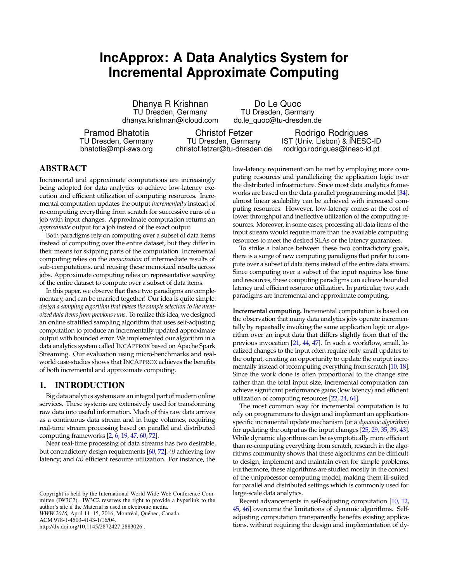# **IncApprox: A Data Analytics System for Incremental Approximate Computing**

Dhanya R Krishnan TU Dresden, Germany dhanya.krishnan@icloud.com

Do Le Quoc TU Dresden, Germany do.le\_quoc@tu-dresden.de

Pramod Bhatotia TU Dresden, Germany bhatotia@mpi-sws.org

Christof Fetzer TU Dresden, Germany christof.fetzer@tu-dresden.de

Rodrigo Rodrigues IST (Univ. Lisbon) & INESC-ID rodrigo.rodrigues@inesc-id.pt

# ABSTRACT

Incremental and approximate computations are increasingly being adopted for data analytics to achieve low-latency execution and efficient utilization of computing resources. Incremental computation updates the output *incrementally* instead of re-computing everything from scratch for successive runs of a job with input changes. Approximate computation returns an *approximate* output for a job instead of the exact output.

Both paradigms rely on computing over a subset of data items instead of computing over the entire dataset, but they differ in their means for skipping parts of the computation. Incremental computing relies on the *memoization* of intermediate results of sub-computations, and reusing these memoized results across jobs. Approximate computing relies on representative *sampling* of the entire dataset to compute over a subset of data items.

In this paper, we observe that these two paradigms are complementary, and can be married together! Our idea is quite simple: *design a sampling algorithm that biases the sample selection to the memoized data items from previous runs*. To realize this idea, we designed an online stratified sampling algorithm that uses self-adjusting computation to produce an incrementally updated approximate output with bounded error. We implemented our algorithm in a data analytics system called INCAPPROX based on Apache Spark Streaming. Our evaluation using micro-benchmarks and realworld case-studies shows that INCAPPROX achieves the benefits of both incremental and approximate computing.

#### 1. INTRODUCTION

Big data analytics systems are an integral part of modern online services. These systems are extensively used for transforming raw data into useful information. Much of this raw data arrives as a continuous data stream and in huge volumes, requiring real-time stream processing based on parallel and distributed computing frameworks [\[2,](#page-10-0) [6,](#page-10-1) [19,](#page-10-2) [47,](#page-11-0) [60,](#page-11-1) [72\]](#page-11-2).

Near real-time processing of data streams has two desirable, but contradictory design requirements [\[60,](#page-11-1) [72\]](#page-11-2): *(i)* achieving low latency; and *(ii)* efficient resource utilization. For instance, the

ACM 978-1-4503-4143-1/16/04.

http://dx.doi.org/10.1145/2872427.2883026 .

low-latency requirement can be met by employing more computing resources and parallelizing the application logic over the distributed infrastructure. Since most data analytics frameworks are based on the data-parallel programming model [\[34\]](#page-10-3), almost linear scalability can be achieved with increased computing resources. However, low-latency comes at the cost of lower throughput and ineffective utilization of the computing resources. Moreover, in some cases, processing all data items of the input stream would require more than the available computing resources to meet the desired SLAs or the latency guarantees.

To strike a balance between these two contradictory goals, there is a surge of new computing paradigms that prefer to compute over a subset of data items instead of the entire data stream. Since computing over a subset of the input requires less time and resources, these computing paradigms can achieve bounded latency and efficient resource utilization. In particular, two such paradigms are incremental and approximate computing.

**Incremental computing.** Incremental computation is based on the observation that many data analytics jobs operate incrementally by repeatedly invoking the same application logic or algorithm over an input data that differs slightly from that of the previous invocation [\[21,](#page-10-4) [44,](#page-11-3) [47\]](#page-11-0). In such a workflow, small, localized changes to the input often require only small updates to the output, creating an opportunity to update the output incrementally instead of recomputing everything from scratch [\[10,](#page-10-5) [18\]](#page-10-6). Since the work done is often proportional to the change size rather than the total input size, incremental computation can achieve significant performance gains (low latency) and efficient utilization of computing resources [\[22,](#page-10-7) [24,](#page-10-8) [64\]](#page-11-4).

The most common way for incremental computation is to rely on programmers to design and implement an applicationspecific incremental update mechanism (or a *dynamic algorithm*) for updating the output as the input changes [\[25,](#page-10-9) [29,](#page-10-10) [35,](#page-10-11) [39,](#page-10-12) [43\]](#page-11-5). While dynamic algorithms can be asymptotically more efficient than re-computing everything from scratch, research in the algorithms community shows that these algorithms can be difficult to design, implement and maintain even for simple problems. Furthermore, these algorithms are studied mostly in the context of the uniprocessor computing model, making them ill-suited for parallel and distributed settings which is commonly used for large-scale data analytics.

Recent advancements in self-adjusting computation [\[10,](#page-10-5) [12,](#page-10-13) [45,](#page-11-6) [46\]](#page-11-7) overcome the limitations of dynamic algorithms. Selfadjusting computation transparently benefits existing applications, without requiring the design and implementation of dy-

Copyright is held by the International World Wide Web Conference Committee (IW3C2). IW3C2 reserves the right to provide a hyperlink to the author's site if the Material is used in electronic media. *WWW 2016,* April 11–15, 2016, Montréal, Québec, Canada.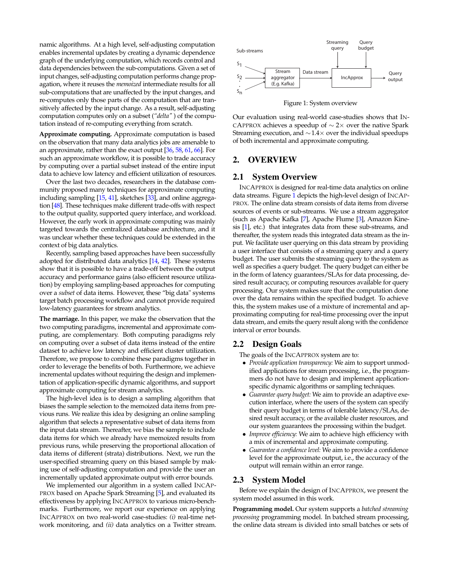namic algorithms. At a high level, self-adjusting computation enables incremental updates by creating a dynamic dependence graph of the underlying computation, which records control and data dependencies between the sub-computations. Given a set of input changes, self-adjusting computation performs change propagation, where it reuses the *memoized* intermediate results for all sub-computations that are unaffected by the input changes, and re-computes only those parts of the computation that are transitively affected by the input change. As a result, self-adjusting computation computes only on a subset (*"delta"* ) of the computation instead of re-computing everything from scratch.

**Approximate computing.** Approximate computation is based on the observation that many data analytics jobs are amenable to an approximate, rather than the exact output [\[36,](#page-10-14) [58,](#page-11-8) [61,](#page-11-9) [66\]](#page-11-10). For such an approximate workflow, it is possible to trade accuracy by computing over a partial subset instead of the entire input data to achieve low latency and efficient utilization of resources.

Over the last two decades, researchers in the database community proposed many techniques for approximate computing including sampling [\[15,](#page-10-15) [41\]](#page-11-11), sketches [\[33\]](#page-10-16), and online aggregation [\[48\]](#page-11-12). These techniques make different trade-offs with respect to the output quality, supported query interface, and workload. However, the early work in approximate computing was mainly targeted towards the centralized database architecture, and it was unclear whether these techniques could be extended in the context of big data analytics.

Recently, sampling based approaches have been successfully adopted for distributed data analytics [\[14,](#page-10-17) [42\]](#page-11-13). These systems show that it is possible to have a trade-off between the output accuracy and performance gains (also efficient resource utilization) by employing sampling-based approaches for computing over a *subset* of data items. However, these "big data" systems target batch processing workflow and cannot provide required low-latency guarantees for stream analytics.

**The marriage.** In this paper, we make the observation that the two computing paradigms, incremental and approximate computing, are complementary. Both computing paradigms rely on computing over a subset of data items instead of the entire dataset to achieve low latency and efficient cluster utilization. Therefore, we propose to combine these paradigms together in order to leverage the benefits of both. Furthermore, we achieve incremental updates without requiring the design and implementation of application-specific dynamic algorithms, and support approximate computing for stream analytics.

The high-level idea is to design a sampling algorithm that biases the sample selection to the memoized data items from previous runs. We realize this idea by designing an online sampling algorithm that selects a representative subset of data items from the input data stream. Thereafter, we bias the sample to include data items for which we already have memoized results from previous runs, while preserving the proportional allocation of data items of different (strata) distributions. Next, we run the user-specified streaming query on this biased sample by making use of self-adjusting computation and provide the user an incrementally updated approximate output with error bounds.

We implemented our algorithm in a system called INCAP-PROX based on Apache Spark Streaming [\[5\]](#page-10-18), and evaluated its effectiveness by applying INCAPPROX to various micro-benchmarks. Furthermore, we report our experience on applying INCAPPROX on two real-world case-studies: *(i)* real-time net-



<span id="page-1-0"></span>Figure 1: System overview

Our evaluation using real-world case-studies shows that IN-CAPPROX achieves a speedup of  $\sim$  2× over the native Spark Streaming execution, and ∼1.4× over the individual speedups of both incremental and approximate computing.

### 2. OVERVIEW

#### 2.1 System Overview

many setting in the strength of the most controlled by the time of the strength of the strength of the strength of the strength of the strength of the strength of the strength of the strength of the strength of the streng INCAPPROX is designed for real-time data analytics on online data streams. Figure [1](#page-1-0) depicts the high-level design of INCAP-PROX. The online data stream consists of data items from diverse sources of events or sub-streams. We use a stream aggregator (such as Apache Kafka [\[7\]](#page-10-19), Apache Flume [\[3\]](#page-10-20), Amazon Kinesis [\[1\]](#page-10-21), etc.) that integrates data from these sub-streams, and thereafter, the system reads this integrated data stream as the input. We facilitate user querying on this data stream by providing a user interface that consists of a streaming query and a query budget. The user submits the streaming query to the system as well as specifies a query budget. The query budget can either be in the form of latency guarantees/SLAs for data processing, desired result accuracy, or computing resources available for query processing. Our system makes sure that the computation done over the data remains within the specified budget. To achieve this, the system makes use of a mixture of incremental and approximating computing for real-time processing over the input data stream, and emits the query result along with the confidence interval or error bounds.

#### <span id="page-1-1"></span>2.2 Design Goals

The goals of the INCAPPROX system are to:

- *Provide application transparency:* We aim to support unmodified applications for stream processing, i.e., the programmers do not have to design and implement applicationspecific dynamic algorithms or sampling techniques.
- *Guarantee query budget:* We aim to provide an adaptive execution interface, where the users of the system can specify their query budget in terms of tolerable latency/SLAs, desired result accuracy, or the available cluster resources, and our system guarantees the processing within the budget.
- *Improve efficiency:* We aim to achieve high efficiency with a mix of incremental and approximate computing.
- *Guarantee a confidence level:* We aim to provide a confidence level for the approximate output, i.e., the accuracy of the output will remain within an error range.

#### <span id="page-1-2"></span>2.3 System Model

Before we explain the design of INCAPPROX, we present the system model assumed in this work.

**Programming model.** Our system supports a *batched streaming processing* programming model. In batched stream processing, the online data stream is divided into small batches or sets of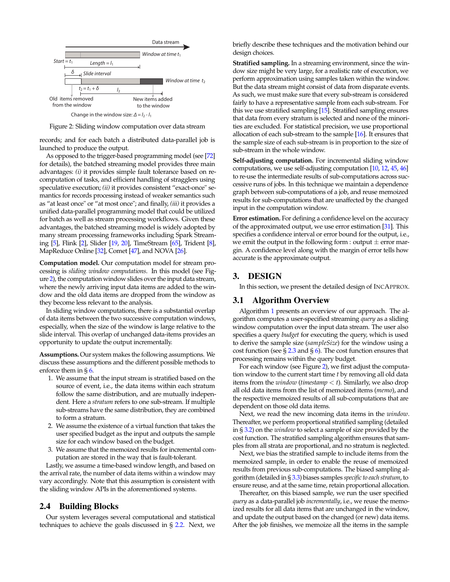

<span id="page-2-0"></span>Figure 2: Sliding window computation over data stream

records; and for each batch a distributed data-parallel job is launched to produce the output.

As opposed to the trigger-based programming model (see [\[72\]](#page-11-2) for details), the batched streaming model provides three main advantages: *(i)* it provides simple fault tolerance based on recomputation of tasks, and efficient handling of stragglers using speculative execution; *(ii)* it provides consistent "exact-once" semantics for records processing instead of weaker semantics such as "at least once" or "at most once"; and finally, *(iii)* it provides a unified data-parallel programming model that could be utilized for batch as well as stream processing workflows. Given these advantages, the batched streaming model is widely adopted by many stream processing frameworks including Spark Streaming [\[5\]](#page-10-18), Flink [\[2\]](#page-10-0), Slider [\[19,](#page-10-2) [20\]](#page-10-22), TimeStream [\[65\]](#page-11-14), Trident [\[8\]](#page-10-23), MapReduce Online [\[32\]](#page-10-24), Comet [\[47\]](#page-11-0), and NOVA [\[26\]](#page-10-25).

**Computation model.** Our computation model for stream processing is *sliding window computations*. In this model (see Figure [2\)](#page-2-0), the computation window slides over the input data stream, where the newly arriving input data items are added to the window and the old data items are dropped from the window as they become less relevant to the analysis.

In sliding window computations, there is a substantial overlap of data items between the two successive computation windows, especially, when the size of the window is large relative to the slide interval. This overlap of unchanged data-items provides an opportunity to update the output incrementally.

**Assumptions.** Our system makes the following assumptions. We discuss these assumptions and the different possible methods to enforce them in § [6.](#page-8-0)

- 1. We assume that the input stream is stratified based on the source of event, i.e., the data items within each stratum follow the same distribution, and are mutually independent. Here a *stratum* refers to one sub-stream. If multiple sub-streams have the same distribution, they are combined to form a stratum.
- 2. We assume the existence of a virtual function that takes the user specified budget as the input and outputs the sample size for each window based on the budget.
- 3. We assume that the memoized results for incremental computation are stored in the way that is fault-tolerant.

Lastly, we assume a time-based window length, and based on the arrival rate, the number of data items within a window may vary accordingly. Note that this assumption is consistent with the sliding window APIs in the aforementioned systems.

## 2.4 Building Blocks

Our system leverages several computational and statistical techniques to achieve the goals discussed in § [2.2.](#page-1-1) Next, we briefly describe these techniques and the motivation behind our design choices.

**Stratified sampling.** In a streaming environment, since the window size might be very large, for a realistic rate of execution, we perform approximation using samples taken within the window. But the data stream might consist of data from disparate events. As such, we must make sure that every sub-stream is considered fairly to have a representative sample from each sub-stream. For this we use stratified sampling [\[15\]](#page-10-15). Stratified sampling ensures that data from every stratum is selected and none of the minorities are excluded. For statistical precision, we use proportional allocation of each sub-stream to the sample [\[16\]](#page-10-26). It ensures that the sample size of each sub-stream is in proportion to the size of sub-stream in the whole window.

**Self-adjusting computation.** For incremental sliding window computations, we use self-adjusting computation [\[10,](#page-10-5) [12,](#page-10-13) [45,](#page-11-6) [46\]](#page-11-7) to re-use the intermediate results of sub-computations across successive runs of jobs. In this technique we maintain a dependence graph between sub-computations of a job, and reuse memoized results for sub-computations that are unaffected by the changed input in the computation window.

**Error estimation.** For defining a confidence level on the accuracy of the approximated output, we use error estimation [\[31\]](#page-10-27). This specifies a confidence interval or error bound for the output, i.e., we emit the output in the following form : output  $\pm$  error margin. A confidence level along with the margin of error tells how accurate is the approximate output.

## <span id="page-2-1"></span>3. DESIGN

In this section, we present the detailed design of INCAPPROX.

### 3.1 Algorithm Overview

Algorithm [1](#page-3-0) presents an overview of our approach. The algorithm computes a user-specified streaming *query* as a sliding window computation over the input data stream. The user also specifies a query *budget* for executing the query, which is used to derive the sample size (*sampleSize*) for the window using a cost function (see  $\S 2.3$  $\S 2.3$  and  $\S 6$ ). The cost function ensures that processing remains within the query budget.

For each window (see Figure [2\)](#page-2-0), we first adjust the computation window to the current start time *t* by removing all old data items from the *window* (*timestamp* < *t*). Similarly, we also drop all old data items from the list of memoized items (*memo*), and the respective memoized results of all sub-computations that are dependent on those old data items.

Next, we read the new incoming data items in the *window*. Thereafter, we perform proportional stratified sampling (detailed in § [3.2\)](#page-3-1) on the *window* to select a sample of size provided by the cost function. The stratified sampling algorithm ensures that samples from all strata are proportional, and no stratum is neglected.

Next, we bias the stratified sample to include items from the memoized sample, in order to enable the reuse of memoized results from previous sub-computations. The biased sampling algorithm (detailed in § [3.3\)](#page-4-0) biases samples *specific to each stratum*, to ensure reuse, and at the same time, retain proportional allocation.

Thereafter, on this biased sample, we run the user specified *query* as a data-parallel job *incrementally*, i.e., we reuse the memoized results for all data items that are unchanged in the window, and update the output based on the changed (or new) data items. After the job finishes, we memoize all the items in the sample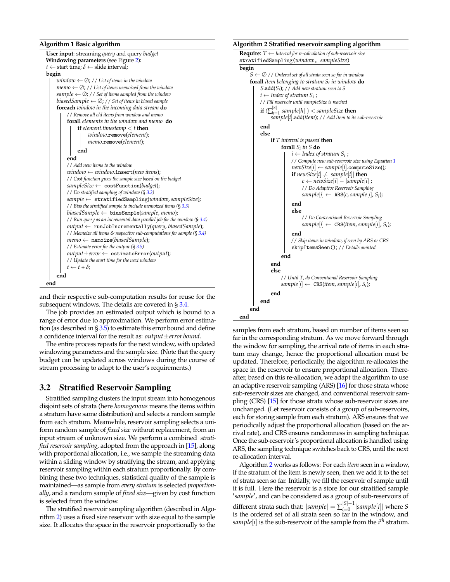#### <span id="page-3-0"></span>**Algorithm 1 Basic algorithm**

| User input: streaming query and query budget                               |
|----------------------------------------------------------------------------|
| Windowing parameters (see Figure 2):                                       |
| $t \leftarrow$ start time; $\delta \leftarrow$ slide interval;             |
| begin                                                                      |
| window $\leftarrow \emptyset$ ; // List of items in the window             |
| memo $\leftarrow \emptyset$ ; // List of items memoized from the window    |
| sample $\leftarrow \emptyset$ ; // Set of items sampled from the window    |
| biased Sample $\leftarrow \emptyset$ ; // Set of items in biased sample    |
| <b>foreach</b> window in the incoming data stream <b>do</b>                |
| // Remove all old items from window and memo                               |
| forall elements in the window and memo do                                  |
| <b>if</b> element timestamp $\lt t$ then                                   |
| window.remove(element);                                                    |
| memo.remove(element);                                                      |
| end                                                                        |
| end                                                                        |
| // Add new items to the window                                             |
| $window \leftarrow window \cdot \text{insert}(new items);$                 |
| // Cost function gives the sample size based on the budget                 |
| $sampleSize \leftarrow costFunction(budget);$                              |
| // Do stratified sampling of window (§ 3.2)                                |
| $sample \leftarrow \text{stratifiedSampling}(window, sampleSize);$         |
| // Bias the stratified sample to include memoized items (§ 3.3)            |
| biasedSample $\leftarrow$ biasSample(sample, memo);                        |
| // Run query as an incremental data parallel job for the window $(\S 3.4)$ |
| $output \leftarrow runJobIncrementally(query, biasedSample);$              |
| // Memoize all items & respective sub-computations for sample (§ 3.4)      |
| $memo \leftarrow \text{ memoize}(biasedSample);$                           |
| // Estimate error for the output $(S 3.5)$                                 |
| $output \pm error \leftarrow$ estimateError( <i>output</i> );              |
| // Update the start time for the next window                               |
| $t \leftarrow t + \delta$ ;                                                |
| end                                                                        |
| end                                                                        |

and their respective sub-computation results for reuse for the subsequent windows. The details are covered in § [3.4.](#page-5-0)

The job provides an estimated output which is bound to a range of error due to approximation. We perform error estimation (as described in  $\S 3.5$ ) to estimate this error bound and define a confidence interval for the result as: *output*±*error bound*.

The entire process repeats for the next window, with updated windowing parameters and the sample size. (Note that the query budget can be updated across windows during the course of stream processing to adapt to the user's requirements.)

#### <span id="page-3-1"></span>3.2 Stratified Reservoir Sampling

Stratified sampling clusters the input stream into homogenous disjoint sets of strata (here *homogenous* means the items within a stratum have same distribution) and selects a random sample from each stratum. Meanwhile, reservoir sampling selects a uniform random sample of *fixed size* without replacement, from an input stream of unknown size. We perform a combined *stratified reservoir sampling*, adopted from the approach in [\[15\]](#page-10-15), along with proportional allocation, i.e., we sample the streaming data within a sliding window by stratifying the stream, and applying reservoir sampling within each stratum proportionally. By combining these two techniques, statistical quality of the sample is maintained—as sample from *every stratum* is selected *proportionally*, and a random sample of *fixed size*—given by cost function is selected from the window.

The stratified reservoir sampling algorithm (described in Algorithm [2\)](#page-3-2) uses a fixed size reservoir with size equal to the sample size. It allocates the space in the reservoir proportionally to the

#### <span id="page-3-2"></span>**Algorithm 2 Stratified reservoir sampling algorithm**



samples from each stratum, based on number of items seen so far in the corresponding stratum. As we move forward through the window for sampling, the arrival rate of items in each stratum may change, hence the proportional allocation must be updated. Therefore, periodically, the algorithm re-allocates the space in the reservoir to ensure proportional allocation. Thereafter, based on this re-allocation, we adapt the algorithm to use an adaptive reservoir sampling (ARS) [\[16\]](#page-10-26) for those strata whose sub-reservoir sizes are changed, and conventional reservoir sampling (CRS) [\[15\]](#page-10-15) for those strata whose sub-reservoir sizes are unchanged. (Let reservoir consists of a group of sub-reservoirs, each for storing sample from each stratum). ARS ensures that we periodically adjust the proportional allocation (based on the arrival rate), and CRS ensures randomness in sampling technique. Once the sub-reservoir's proportional allocation is handled using ARS, the sampling technique switches back to CRS, until the next re-allocation interval.

Algorithm [2](#page-3-2) works as follows: For each *item* seen in a window, if the stratum of the item is newly seen, then we add it to the set of strata seen so far. Initially, we fill the reservoir of sample until it is full. Here the reservoir is a store for our stratified sample 'sample', and can be considered as a group of sub-reservoirs of different strata such that:  $|sample| = \sum_{i=0}^{|S|-1}$  $\sum_{i=0}^{|S|-1} |sample[i]|$  where *S* is the ordered set of all strata seen so far in the window, and  $sample[i]$  is the sub-reservoir of the sample from the  $i<sup>th</sup>$  stratum.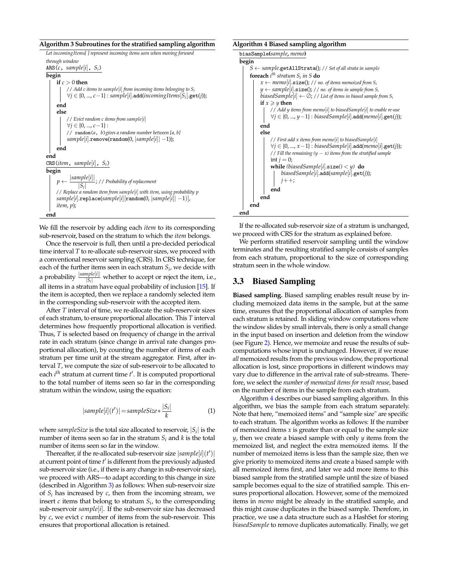#### <span id="page-4-2"></span>**Algorithm 3 Subroutines for the stratified sampling algorithm**

```
Let incomingItems[ ] represent incoming items seen when moving forward
through window
ARS(c, sample[i], S_i)begin
    if c > 0 then
          // Add c items to sample[i] from incoming items belonging to Si
          ∀j ∈ {0, ..., c−1} : sample[i].add(incomingItems[Si
].get(j));
    end
     else
          // Evict random c items from sample[i]
          ∀j ∈ {0, ..., c−1} :
         // random(a, b)gives a random number between [a, b]
          sample[i].remove(random(0, |sample[i]| −1));
    end
end
CRS(item, sample[i], Si)
begin
     p ←
           |sample[i]|
                \frac{|\mathcal{S}_i|}{|\mathcal{S}_i|}; // Probability of replacement
    // Replace a random item from sample[i] with item, using probability p
     sample[i].replace(sample[i][random(0, |sample[i]| −1)],
     item, p);
end
```
We fill the reservoir by adding each *item* to its corresponding sub-reservoir, based on the stratum to which the *item* belongs.

Once the reservoir is full, then until a pre-decided periodical time interval *T* to re-allocate sub-reservoir sizes, we proceed with a conventional reservoir sampling (CRS). In CRS technique, for each of the further items seen in each stratum *S<sup>i</sup>* , we decide with a probability  $\frac{|sample[i]|}{|S_i|}$  whether to accept or reject the item, i.e.,  $|S_i|$ all items in a stratum have equal probability of inclusion [\[15\]](#page-10-15). If the item is accepted, then we replace a randomly selected item in the corresponding sub-reservoir with the accepted item.

After *T* interval of time, we re-allocate the sub-reservoir sizes of each stratum, to ensure proportional allocation. This *T* interval determines how frequently proportional allocation is verified. Thus, *T* is selected based on frequency of change in the arrival rate in each stratum (since change in arrival rate changes proportional allocation), by counting the number of items of each stratum per time unit at the stream aggregator. First, after interval *T*, we compute the size of sub-reservoir to be allocated to each *i<sup>th</sup>* stratum at current time *t'*. It is computed proportional to the total number of items seen so far in the corresponding stratum within the window, using the equation:

<span id="page-4-1"></span>
$$
|sample[i](t')| = sampleSize * \frac{|S_i|}{k}
$$
 (1)

where  $sampleSize$  is the total size allocated to reservoir,  $|S_i|$  is the number of items seen so far in the stratum *S<sup>i</sup>* and *k* is the total number of items seen so far in the window.

Thereafter, if the re-allocated sub-reservoir size  $|sample[i](t')|$ at current point of time  $t'$  is different from the previously adjusted sub-reservoir size (i.e., if there is any change in sub-reservoir size), we proceed with ARS—to adapt according to this change in size (described in Algorithm [3\)](#page-4-2) as follows: When sub-reservoir size of  $S_i$  has increased by  $c$ , then from the incoming stream, we insert  $c$  items that belong to stratum  $S_i$ , to the corresponding sub-reservoir *sample*[*i*]. If the sub-reservoir size has decreased by *c*, we evict *c* number of items from the sub-reservoir. This ensures that proportional allocation is retained.

#### <span id="page-4-3"></span>**Algorithm 4 Biased sampling algorithm**

```
biasSample(sample, memo)
begin
    S ← sample.getAllStrata(); // Set of all strata in sample
     foreach i
th stratum Si
in S do
         x \leftarrow memo[i].size(); // no. of items memoized from S_iy ← sample[i].size(); // no. of items in sample from Si
         biasedSample[i] \leftarrow \emptyset; // List of items in biased sample from S<sub><i>i</sub></sub>
         if x \geq y then
               // Add y items from memo[i] to biasedSample[i] to enable re-use
               ∀j ∈ {0, ..., y−1} : biasedSample[i].add(memo[i].get(j));
         end
         else
               // First add x items from memo[i] to biasedSample[i]
               ∀j ∈ {0, ..., x−1} : biasedSample[i].add(memo[i].get(j));
              // Fill the remaining (y − x) items from the stratified sample
              int i = 0:
              while (biasedSample[i].size() < y) do
                   biasedSample[i].add(sample[i].get(j));
                   j_{++};end
         end
    end
end
```
If the re-allocated sub-reservoir size of a stratum is unchanged, we proceed with CRS for the stratum as explained before.

We perform stratified reservoir sampling until the window terminates and the resulting stratified sample consists of samples from each stratum, proportional to the size of corresponding stratum seen in the whole window.

#### <span id="page-4-0"></span>3.3 Biased Sampling

**Biased sampling.** Biased sampling enables result reuse by including memoized data items in the sample, but at the same time, ensures that the proportional allocation of samples from each stratum is retained. In sliding window computations where the window slides by small intervals, there is only a small change in the input based on insertion and deletion from the window (see Figure [2\)](#page-2-0). Hence, we memoize and reuse the results of subcomputations whose input is unchanged. However, if we reuse *all* memoized results from the previous window, the proportional allocation is lost, since proportions in different windows may vary due to difference in the arrival rate of sub-streams. Therefore, we select the *number of memoized items for result reuse*, based on the number of items in the sample from each stratum.

Algorithm [4](#page-4-3) describes our biased sampling algorithm. In this algorithm, we bias the sample from each stratum separately. Note that here, "memoized items" and "sample size" are specific to each stratum. The algorithm works as follows: If the number of memoized items *x* is greater than or equal to the sample size *y*, then we create a biased sample with only *y* items from the memoized list, and neglect the extra memoized items. If the number of memoized items is less than the sample size, then we give priority to memoized items and create a biased sample with all memoized items first, and later we add more items to this biased sample from the stratified sample until the size of biased sample becomes equal to the size of stratified sample. This ensures proportional allocation. However, some of the memoized items in *memo* might be already in the stratified sample, and this might cause duplicates in the biased sample. Therefore, in practice, we use a data structure such as a HashSet for storing *biasedSample* to remove duplicates automatically. Finally, we get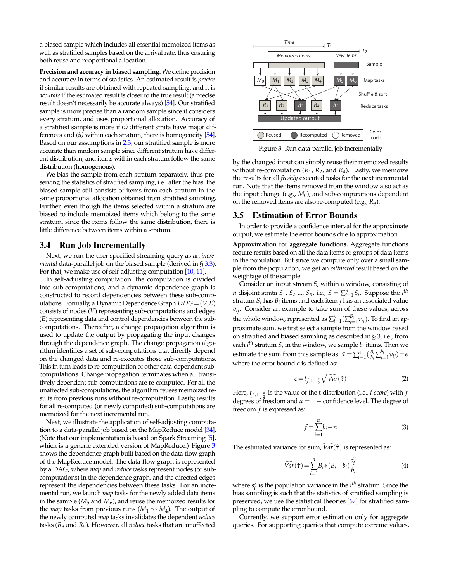a biased sample which includes all essential memoized items as well as stratified samples based on the arrival rate, thus ensuring both reuse and proportional allocation.

**Precision and accuracy in biased sampling.** We define precision and accuracy in terms of statistics. An estimated result is *precise* if similar results are obtained with repeated sampling, and it is *accurate* if the estimated result is closer to the true result (a precise result doesn't necessarily be accurate always) [\[54\]](#page-11-15). Our stratified sample is more precise than a random sample since it considers every stratum, and uses proportional allocation. Accuracy of a stratified sample is more if *(i)* different strata have major differences and *(ii)* within each stratum, there is homogeneity [\[54\]](#page-11-15). Based on our assumptions in [2.3,](#page-2-0) our stratified sample is more accurate than random sample since different stratum have different distribution, and items within each stratum follow the same distribution (homogenous).

We bias the sample from each stratum separately, thus preserving the statistics of stratified sampling, i.e., after the bias, the biased sample still consists of items from each stratum in the same proportional allocation obtained from stratified sampling. Further, even though the items selected within a stratum are biased to include memoized items which belong to the same stratum, since the items follow the same distribution, there is little difference between items within a stratum.

#### <span id="page-5-0"></span>3.4 Run Job Incrementally

Next, we run the user-specified streaming query as an *incremental* data-parallel job on the biased sample (derived in § [3.3\)](#page-4-0). For that, we make use of self-adjusting computation [\[10,](#page-10-5) [11\]](#page-10-28).

In self-adjusting computation, the computation is divided into sub-computations, and a dynamic dependence graph is constructed to record dependencies between these sub-computations. Formally, a Dynamic Dependence Graph *DDG*= (*V*,*E*) consists of nodes (*V*) representing sub-computations and edges (*E*) representing data and control dependencies between the subcomputations. Thereafter, a change propagation algorithm is used to update the output by propagating the input changes through the dependence graph. The change propagation algorithm identifies a set of sub-computations that directly depend on the changed data and re-executes those sub-computations. This in turn leads to re-computation of other data-dependent subcomputations. Change propagation terminates when all transitively dependent sub-computations are re-computed. For all the unaffected sub-computations, the algorithm reuses memoized results from previous runs without re-computation. Lastly, results for all re-computed (or newly computed) sub-computations are memoized for the next incremental run.

Next, we illustrate the application of self-adjusting computation to a data-parallel job based on the MapReduce model [\[34\]](#page-10-3). (Note that our implementation is based on Spark Streaming [\[5\]](#page-10-18), which is a generic extended version of MapReduce.) Figure [3](#page-5-2) shows the dependence graph built based on the data-flow graph of the MapReduce model. The data-flow graph is represented by a DAG, where *map* and *reduce* tasks represent nodes (or subcomputations) in the dependence graph, and the directed edges represent the dependencies between these tasks. For an incremental run, we launch *map* tasks for the newly added data items in the sample (*M*<sup>5</sup> and *M*6), and reuse the memoized results for the *map* tasks from previous runs (*M*<sup>1</sup> to *M*<sup>4</sup> ). The output of the newly computed *map* tasks invalidates the dependent *reduce* tasks (*R*<sup>3</sup> and *R*5). However, all *reduce* tasks that are unaffected



<span id="page-5-2"></span>Figure 3: Run data-parallel job incrementally

by the changed input can simply reuse their memoized results without re-computation (*R*<sup>1</sup> , *R*2, and *R*<sup>4</sup> ). Lastly, we memoize the results for all *freshly* executed tasks for the next incremental run. Note that the items removed from the window also act as the input change (e.g., *M*0), and sub-computations dependent on the removed items are also re-computed (e.g., *R*3).

#### <span id="page-5-1"></span>3.5 Estimation of Error Bounds

In order to provide a confidence interval for the approximate output, we estimate the error bounds due to approximation.

**Approximation for aggregate functions.** Aggregate functions require results based on all the data items or groups of data items in the population. But since we compute only over a small sample from the population, we get an *estimated* result based on the weightage of the sample.

Consider an input stream S, within a window, consisting of *n* disjoint strata  $S_1$ ,  $S_2$  ...,  $S_n$ , i.e.,  $S = \sum_{i=1}^n S_i$ . Suppose the *i*<sup>th</sup> stratum  $S_i$  has  $B_i$  items and each item  $j$  has an associated value *vij*. Consider an example to take sum of these values, across the whole window, represented as  $\sum_{i=1}^{n}(\sum_{j=1}^{B_i}v_{ij})$ . To find an approximate sum, we first select a sample from the window based on stratified and biased sampling as described in § [3,](#page-2-1) i.e., from each  $i^{th}$  stratum  $S_i$  in the window, we sample  $b_i$  items. Then we estimate the sum from this sample as:  $\hat{\tau} = \sum_{i=1}^{n} (\frac{B_i}{b_i} \sum_{j=1}^{b_i} v_{ij}) \pm \epsilon$ where the error bound  $\epsilon$  is defined as:

<span id="page-5-3"></span>
$$
\epsilon = t_{f,1-\frac{\alpha}{2}}\sqrt{\widehat{Var}(\hat{\tau})} \tag{2}
$$

Here, *tf*,1<sup>−</sup> *<sup>α</sup>* is the value of the t-distribution (i.e., *t-score*) with *f* degrees of freedom and  $\alpha = 1$  – confidence level. The degree of freedom *f* is expressed as:

<span id="page-5-4"></span>
$$
f = \sum_{i=1}^{n} b_i - n \tag{3}
$$

The estimated variance for sum,  $\widehat{Var}(\hat{\tau})$  is represented as:

<span id="page-5-5"></span>
$$
\widehat{Var}(\hat{\tau}) = \sum_{i=1}^{n} B_i * (B_i - b_i) \frac{s_i^2}{b_i}
$$
 (4)

where  $s_i^2$  is the population variance in the  $i^{th}$  stratum. Since the bias sampling is such that the statistics of stratified sampling is preserved, we use the statistical theories [\[67\]](#page-11-16) for stratified sampling to compute the error bound.

Currently, we support error estimation only for aggregate queries. For supporting queries that compute extreme values,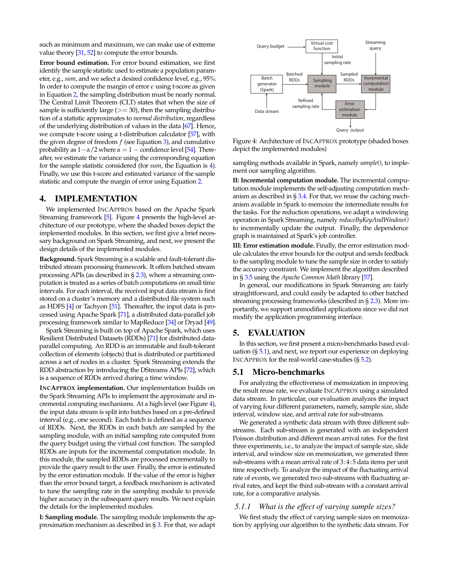such as minimum and maximum, we can make use of extreme value theory [\[31,](#page-10-27) [52\]](#page-11-17) to compute the error bounds.

**Error bound estimation.** For error bound estimation, we first identify the sample statistic used to estimate a population parameter, e.g., *sum*, and we select a desired confidence level, e.g., 95%. In order to compute the margin of error  $\epsilon$  using t-score as given in Equation [2,](#page-5-3) the sampling distribution must be nearly normal. The Central Limit Theorem (CLT) states that when the size of sample is sufficiently large  $(>= 30)$ , then the sampling distribution of a statistic approximates to *normal distribution*, regardless of the underlying distribution of values in the data [\[67\]](#page-11-16). Hence, we compute t-score using a t-distribution calculator [\[57\]](#page-11-18), with the given degree of freedom  $f$  (see Equation [3\)](#page-5-4), and cumulative probability as  $1-\alpha/2$  where  $\alpha = 1$  – confidence level [\[54\]](#page-11-15). Thereafter, we estimate the variance using the corresponding equation for the sample statistic considered (for *sum*, the Equation is [4\)](#page-5-5). Finally, we use this t-score and estimated variance of the sample statistic and compute the margin of error using Equation [2.](#page-5-3)

#### 4. IMPLEMENTATION

We implemented INCAPPROX based on the Apache Spark Streaming framework [\[5\]](#page-10-18). Figure [4](#page-6-0) presents the high-level architecture of our prototype, where the shaded boxes depict the implemented modules. In this section, we first give a brief necessary background on Spark Streaming, and next, we present the design details of the implemented modules.

**Background.** Spark Streaming is a scalable and fault-tolerant distributed stream processing framework. It offers batched stream processing APIs (as described in § [2.3\)](#page-1-2), where a streaming computation is treated as a series of batch computations on small time intervals. For each interval, the received input data stream is first stored on a cluster's memory and a distributed file system such as HDFS [\[4\]](#page-10-29) or Tachyon [\[51\]](#page-11-19). Thereafter, the input data is processed using Apache Spark [\[71\]](#page-11-20), a distributed data-parallel job processing framework similar to MapReduce [\[34\]](#page-10-3) or Dryad [\[49\]](#page-11-21).

Spark Streaming is built on top of Apache Spark, which uses Resilient Distributed Datasets (RDDs) [\[71\]](#page-11-20) for distributed dataparallel computing. An RDD is an immutable and fault-tolerant collection of elements (objects) that is distributed or partitioned across a set of nodes in a cluster. Spark Streaming extends the RDD abstraction by introducing the DStreams APIs [\[72\]](#page-11-2), which is a sequence of RDDs arrived during a time window.

**INCAPPROX implementation.** Our implementation builds on the Spark Streaming APIs to implement the approximate and incremental computing mechanisms. At a high-level (see Figure [4\)](#page-6-0), the input data stream is split into batches based on a pre-defined interval (e.g., one second). Each batch is defined as a sequence of RDDs. Next, the RDDs in each batch are sampled by the sampling module, with an initial sampling rate computed from the query budget using the virtual cost function. The sampled RDDs are inputs for the incremental computation module. In this module, the sampled RDDs are processed incrementally to provide the query result to the user. Finally, the error is estimated by the error estimation module. If the value of the error is higher than the error bound target, a feedback mechanism is activated to tune the sampling rate in the sampling module to provide higher accuracy in the subsequent query results. We next explain the details for the implemented modules.

**I: Sampling module.** The sampling module implements the approximation mechanism as described in  $\S 3$ . For that, we adapt



<span id="page-6-0"></span>Figure 4: Architecture of INCAPPROX prototype (shaded boxes depict the implemented modules)

sampling methods available in Spark, namely *sample()*, to implement our sampling algorithm.

**II: Incremental computation module.** The incremental computation module implements the self-adjusting computation mechanism as described in § [3.4.](#page-5-0) For that, we reuse the caching mechanism available in Spark to memoize the intermediate results for the tasks. For the reduction operations, we adapt a windowing operation in Spark Streaming, namely *reduceByKeyAndWindow()* to incrementally update the output. Finally, the dependence graph is maintained at Spark's job controller.

**III: Error estimation module.** Finally, the error estimation module calculates the error bounds for the output and sends feedback to the sampling module to tune the sample size in order to satisfy the accuracy constraint. We implement the algorithm described in § [3.5](#page-5-1) using the *Apache Common Math* library [\[57\]](#page-11-18).

In general, our modifications in Spark Streaming are fairly straightforward, and could easily be adapted to other batched streaming processing frameworks (described in § [2.3\)](#page-1-2). More importantly, we support unmodified applications since we did not modify the application programming interface.

## 5. EVALUATION

In this section, we first present a micro-benchmarks based evaluation  $(\frac{5}{5.1})$ , and next, we report our experience on deploying INCAPPROX for the real-world case-studies (§ [5.2\)](#page-7-0).

#### <span id="page-6-1"></span>5.1 Micro-benchmarks

For analyzing the effectiveness of memoization in improving the result reuse rate, we evaluate INCAPPROX using a simulated data stream. In particular, our evaluation analyzes the impact of varying four different parameters, namely, sample size, slide interval, window size, and arrival rate for sub-streams.

We generated a synthetic data stream with three different substreams. Each sub-stream is generated with an independent Poisson distribution and different mean arrival rates. For the first three experiments, i.e., to analyze the impact of sample size, slide interval, and window size on memoization, we generated three sub-streams with a mean arrival rate of 3:4:5 data items per unit time respectively. To analyze the impact of the fluctuating arrival rate of events, we generated two sub-streams with fluctuating arrival rates, and kept the third sub-stream with a constant arrival rate, for a comparative analysis.

#### *5.1.1 What is the effect of varying sample sizes?*

We first study the effect of varying sample sizes on memoization by applying our algorithm to the synthetic data stream. For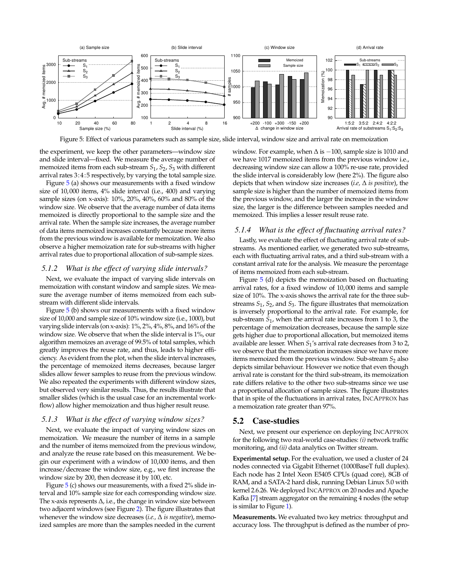

<span id="page-7-1"></span>Figure 5: Effect of various parameters such as sample size, slide interval, window size and arrival rate on memoization

the experiment, we keep the other parameters—window size and slide interval—fixed. We measure the average number of memoized items from each sub-stream *S*<sup>1</sup> , *S*2, *S*<sup>3</sup> with different arrival rates 3:4:5 respectively, by varying the total sample size.

Figure [5](#page-7-1) (a) shows our measurements with a fixed window size of 10, 000 items, 4% slide interval (i.e., 400) and varying sample sizes (on x-axis): 10%, 20%, 40%, 60% and 80% of the window size. We observe that the average number of data items memoized is directly proportional to the sample size and the arrival rate. When the sample size increases, the average number of data items memoized increases constantly because more items from the previous window is available for memoization. We also observe a higher memoization rate for sub-streams with higher arrival rates due to proportional allocation of sub-sample sizes.

#### *5.1.2 What is the effect of varying slide intervals?*

Next, we evaluate the impact of varying slide intervals on memoization with constant window and sample sizes. We measure the average number of items memoized from each substream with different slide intervals.

Figure [5](#page-7-1) (b) shows our measurements with a fixed window size of 10,000 and sample size of 10% window size (i.e., 1000), but varying slide intervals (on x-axis): 1%, 2%, 4%, 8%, and 16% of the window size. We observe that when the slide interval is 1%, our algorithm memoizes an average of 99.5% of total samples, which greatly improves the reuse rate, and thus, leads to higher efficiency. As evident from the plot, when the slide interval increases, the percentage of memoized items decreases, because larger slides allow fewer samples to reuse from the previous window. We also repeated the experiments with different window sizes, but observed very similar results. Thus, the results illustrate that smaller slides (which is the usual case for an incremental workflow) allow higher memoization and thus higher result reuse.

#### *5.1.3 What is the effect of varying window sizes?*

Next, we evaluate the impact of varying window sizes on memoization. We measure the number of items in a sample and the number of items memoized from the previous window, and analyze the reuse rate based on this measurement. We begin our experiment with a window of 10,000 items, and then increase/decrease the window size, e.g., we first increase the window size by 200, then decrease it by 100, etc.

Figure [5](#page-7-1) (c) shows our measurements, with a fixed 2% slide interval and 10% sample size for each corresponding window size. The x-axis represents ∆, i.e., the change in window size between two adjacent windows (see Figure [2\)](#page-2-0). The figure illustrates that whenever the window size decreases (*i.e.,* ∆ *is negative*), memoized samples are more than the samples needed in the current

window. For example, when  $\Delta$  is  $-100$ , sample size is 1010 and we have 1017 memoized items from the previous window i.e., decreasing window size can allow a 100% re-use rate, provided the slide interval is considerably low (here 2%). The figure also depicts that when window size increases (*i.e,* ∆ *is positive*), the sample size is higher than the number of memoized items from the previous window, and the larger the increase in the window size, the larger is the difference between samples needed and memoized. This implies a lesser result reuse rate.

#### *5.1.4 What is the effect of fluctuating arrival rates?*

Lastly, we evaluate the effect of fluctuating arrival rate of substreams. As mentioned earlier, we generated two sub-streams, each with fluctuating arrival rates, and a third sub-stream with a constant arrival rate for the analysis. We measure the percentage of items memoized from each sub-stream.

Figure [5](#page-7-1) (d) depicts the memoization based on fluctuating arrival rates, for a fixed window of 10,000 items and sample size of 10%. The x-axis shows the arrival rate for the three substreams *S*<sup>1</sup> , *S*2, and *S*3. The figure illustrates that memoization is inversely proportional to the arrival rate. For example, for sub-stream *S*<sup>1</sup> , when the arrival rate increases from 1 to 3, the percentage of memoization decreases, because the sample size gets higher due to proportional allocation, but memoized items available are lesser. When *S*<sup>1</sup> 's arrival rate decreases from 3 to 2, we observe that the memoization increases since we have more items memoized from the previous window. Sub-stream  $S_2$  also depicts similar behaviour. However we notice that even though arrival rate is constant for the third sub-stream, its memoization rate differs relative to the other two sub-streams since we use a proportional allocation of sample sizes. The figure illustrates that in spite of the fluctuations in arrival rates, INCAPPROX has a memoization rate greater than 97%.

#### <span id="page-7-0"></span>5.2 Case-studies

Next, we present our experience on deploying INCAPPROX for the following two real-world case-studies: *(i)* network traffic monitoring, and *(ii)* data analytics on Twitter stream.

**Experimental setup.** For the evaluation, we used a cluster of 24 nodes connected via Gigabit Ethernet (1000BaseT full duplex). Each node has 2 Intel Xeon E5405 CPUs (quad core), 8GB of RAM, and a SATA-2 hard disk, running Debian Linux 5.0 with kernel 2.6.26. We deployed INCAPPROX on 20 nodes and Apache Kafka [\[7\]](#page-10-19) stream aggregator on the remaining 4 nodes (the setup is similar to Figure [1\)](#page-1-0).

**Measurements.** We evaluated two key metrics: throughput and accuracy loss. The throughput is defined as the number of pro-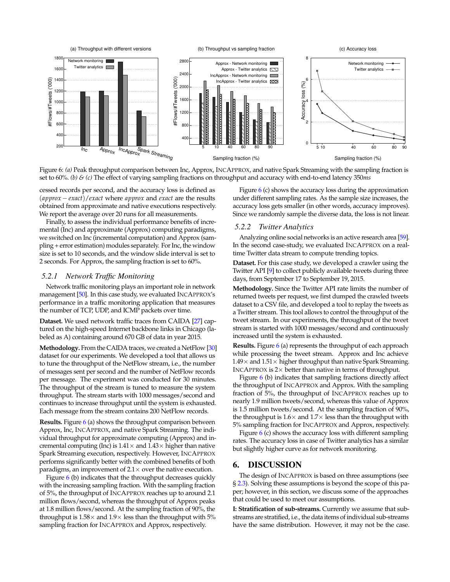

<span id="page-8-1"></span>Figure 6: *(a)* Peak throughput comparison between Inc, Approx, INCAPPROX, and native Spark Streaming with the sampling fraction is set to 60%. *(b) & (c)* The effect of varying sampling fractions on throughput and accuracy with end-to-end latency 350*ms*

cessed records per second, and the accuracy loss is defined as (*approx* −*exact*)/*exact* where *approx* and *exact* are the results obtained from approximate and native executions respectively. We report the average over 20 runs for all measurements.

Finally, to assess the individual performance benefits of incremental (Inc) and approximate (Approx) computing paradigms, we switched on Inc (incremental computation) and Approx (sampling + error estimation) modules separately. For Inc, the window size is set to 10 seconds, and the window slide interval is set to 2 seconds. For Approx, the sampling fraction is set to 60%.

#### *5.2.1 Network Traffic Monitoring*

Network traffic monitoring plays an important role in network management [\[50\]](#page-11-22). In this case study, we evaluated INCAPPROX's performance in a traffic monitoring application that measures the number of TCP, UDP, and ICMP packets over time.

**Dataset.** We used network traffic traces from CAIDA [\[27\]](#page-10-30) captured on the high-speed Internet backbone links in Chicago (labeled as A) containing around 670 GB of data in year 2015.

**Methodology.** From the CAIDA traces, we created a NetFlow [\[30\]](#page-10-31) dataset for our experiments. We developed a tool that allows us to tune the throughput of the NetFlow stream, i.e., the number of messages sent per second and the number of NetFlow records per message. The experiment was conducted for 30 minutes. The throughput of the stream is tuned to measure the system throughput. The stream starts with 1000 messages/second and continues to increase throughput until the system is exhausted. Each message from the stream contains 200 NetFlow records.

**Results.** Figure [6](#page-8-1) (a) shows the throughput comparison between Approx, Inc, INCAPPROX, and native Spark Streaming. The individual throughput for approximate computing (Approx) and incremental computing (Inc) is  $1.41 \times$  and  $1.43 \times$  higher than native Spark Streaming execution, respectively. However, INCAPPROX performs significantly better with the combined benefits of both paradigms, an improvement of  $2.1 \times$  over the native execution.

Figure [6](#page-8-1) (b) indicates that the throughput decreases quickly with the increasing sampling fraction. With the sampling fraction of 5%, the throughput of INCAPPROX reaches up to around 2.1 million flows/second, whereas the throughput of Approx peaks at 1.8 million flows/second. At the sampling fraction of 90%, the throughput is  $1.58\times$  and  $1.9\times$  less than the throughput with  $5\%$ sampling fraction for INCAPPROX and Approx, respectively.

Figure [6](#page-8-1) (c) shows the accuracy loss during the approximation under different sampling rates. As the sample size increases, the accuracy loss gets smaller (in other words, accuracy improves). Since we randomly sample the diverse data, the loss is not linear.

#### *5.2.2 Twitter Analytics*

Analyzing online social networks is an active research area [\[59\]](#page-11-23). In the second case-study, we evaluated INCAPPROX on a realtime Twitter data stream to compute trending topics.

**Dataset.** For this case study, we developed a crawler using the Twitter API [\[9\]](#page-10-32) to collect publicly available tweets during three days, from September 17 to September 19, 2015.

**Methodology.** Since the Twitter API rate limits the number of returned tweets per request, we first dumped the crawled tweets dataset to a CSV file, and developed a tool to replay the tweets as a Twitter stream. This tool allows to control the throughput of the tweet stream. In our experiments, the throughput of the tweet stream is started with 1000 messages/second and continuously increased until the system is exhausted.

**Results.** Figure [6](#page-8-1) (a) represents the throughput of each approach while processing the tweet stream. Approx and Inc achieve  $1.49\times$  and  $1.51\times$  higher throughput than native Spark Streaming. INCAPPROX is  $2\times$  better than native in terms of throughput.

Figure [6](#page-8-1) (b) indicates that sampling fractions directly affect the throughput of INCAPPROX and Approx. With the sampling fraction of 5%, the throughput of INCAPPROX reaches up to nearly 1.9 million tweets/second, whereas this value of Approx is 1.5 million tweets/second. At the sampling fraction of 90%, the throughput is  $1.6 \times$  and  $1.7 \times$  less than the throughput with 5% sampling fraction for INCAPPROX and Approx, respectively.

Figure [6](#page-8-1) (c) shows the accuracy loss with different sampling rates. The accuracy loss in case of Twitter analytics has a similar but slightly higher curve as for network monitoring.

# <span id="page-8-0"></span>6. DISCUSSION

The design of INCAPPROX is based on three assumptions (see § [2.3\)](#page-2-0). Solving these assumptions is beyond the scope of this paper; however, in this section, we discuss some of the approaches that could be used to meet our assumptions.

**I: Stratification of sub-streams.** Currently we assume that substreams are stratified, i.e., the data items of individual sub-streams have the same distribution. However, it may not be the case.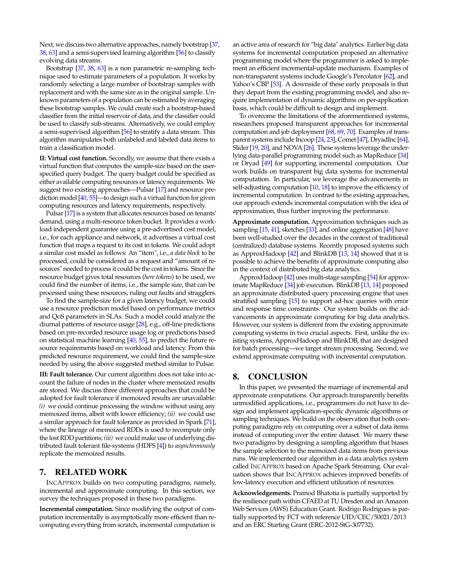Next, we discuss two alternative approaches, namely bootstrap [\[37,](#page-10-33) [38,](#page-10-34) [63\]](#page-11-24) and a semi-supervised learning algorithm [\[56\]](#page-11-25) to classify evolving data streams.

Bootstrap [\[37,](#page-10-33) [38,](#page-10-34) [63\]](#page-11-24) is a non parametric re-sampling technique used to estimate parameters of a population. It works by randomly selecting a large number of bootstrap samples with replacement and with the same size as in the original sample. Unknown parameters of a population can be estimated by averaging these bootstrap samples. We could create such a bootstrap-based classifier from the initial reservoir of data, and the classifier could be used to classify sub-streams. Alternatively, we could employ a semi-supervised algorithm [\[56\]](#page-11-25) to stratify a data stream. This algorithm manipulates both unlabeled and labeled data items to train a classification model.

**II: Virtual cost function.** Secondly, we assume that there exists a virtual function that computes the sample-size based on the userspecified query budget. The query budget could be specified as either available computing resources or latency requirements. We suggest two existing approaches—Pulsar [\[17\]](#page-10-35) and resource prediction model [\[40,](#page-11-26) [55\]](#page-11-27)—to design such a virtual function for given computing resources and latency requirements, respectively.

Pulsar [\[17\]](#page-10-35) is a system that allocates resources based on tenants' demand, using a multi-resource token bucket. It provides a workload independent guarantee using a pre-advertised cost model, i.e., for each appliance and network, it advertises a virtual cost function that maps a request to its cost in tokens. We could adopt a similar cost model as follows: An "item", i.e., *a data block* to be processed, could be considered as a request and "amount of resources" needed to process it could be the cost in tokens. Since the resource budget gives total resources (*here tokens*) to be used, we could find the number of items, i.e., the sample size, that can be processed using these resources, ruling out faults and stragglers.

To find the sample-size for a given latency budget, we could use a resource prediction model based on performance metrics and QoS parameters in SLAs. Such a model could analyze the diurnal patterns of resource usage [\[28\]](#page-10-36), e.g., off-line predictions based on pre-recorded resource usage log or predictions based on statistical machine learning [\[40,](#page-11-26) [55\]](#page-11-27), to predict the future resource requirements based on workload and latency. From this predicted resource requirement, we could find the sample-size needed by using the above suggested method similar to Pulsar.

**III: Fault tolerance.** Our current algorithm does not take into account the failure of nodes in the cluster where memoized results are stored. We discuss three different approaches that could be adopted for fault tolerance if memoized results are unavailable: *(i)* we could continue processing the window without using any memoized items, albeit with lower efficiency; *(ii)* we could use a similar approach for fault tolerance as provided in Spark [\[71\]](#page-11-20), where the lineage of memoized RDDs is used to recompute only the lost RDD partitions; *(iii)* we could make use of underlying distributed fault tolerant file-systems (HDFS [\[4\]](#page-10-29)) to *asynchronously* replicate the memoized results.

# 7. RELATED WORK

INCAPPROX builds on two computing paradigms, namely, incremental and approximate computing. In this section, we survey the techniques proposed in these two paradigms.

**Incremental computation.** Since modifying the output of computation incrementally is asymptotically more efficient than recomputing everything from scratch, incremental computation is an active area of research for "big data" analytics. Earlier big data systems for incremental computation proposed an alternative programming model where the programmer is asked to implement an efficient incremental-update mechanism. Examples of non-transparent systems include Google's Percolator [\[62\]](#page-11-28), and Yahoo's CBP [\[53\]](#page-11-29). A downside of these early proposals is that they depart from the existing programming model, and also require implementation of dynamic algorithms on per-application basis, which could be difficult to design and implement.

To overcome the limitations of the aforementioned systems, researchers proposed transparent approaches for incremental computation and job deployment [\[68,](#page-11-30) [69,](#page-11-31) [70\]](#page-11-32). Examples of trans-parent systems include Incoop [\[24,](#page-10-8) [23\]](#page-10-37), Comet [\[47\]](#page-11-0), DryadInc [\[64\]](#page-11-4), Slider [\[19,](#page-10-2) [20\]](#page-10-22), and NOVA [\[26\]](#page-10-25). These systems leverage the underlying data-parallel programming model such as MapReduce [\[34\]](#page-10-3) or Dryad [\[49\]](#page-11-21) for supporting incremental computation. Our work builds on transparent big data systems for incremental computation. In particular, we leverage the advancements in self-adjusting computation [\[10,](#page-10-5) [18\]](#page-10-6) to improve the efficiency of incremental computation. In contrast to the existing approaches, our approach extends incremental computation with the idea of approximation, thus further improving the performance.

**Approximate computation.** Approximation techniques such as sampling [\[15,](#page-10-15) [41\]](#page-11-11), sketches [\[33\]](#page-10-16), and online aggregation [\[48\]](#page-11-12) have been well-studied over the decades in the context of traditional (centralized) database systems. Recently proposed systems such as ApproxHadoop [\[42\]](#page-11-13) and BlinkDB [\[13,](#page-10-38) [14\]](#page-10-17) showed that it is possible to achieve the benefits of approximate computing also in the context of distributed big data analytics.

ApproxHadoop [\[42\]](#page-11-13) uses multi-stage sampling [\[54\]](#page-11-15) for approximate MapReduce [\[34\]](#page-10-3) job execution. BlinkDB [\[13,](#page-10-38) [14\]](#page-10-17) proposed an approximate distributed query processing engine that uses stratified sampling [\[15\]](#page-10-15) to support ad-hoc queries with error and response time constraints. Our system builds on the advancements in approximate computing for big data analytics. However, our system is different from the existing approximate computing systems in two crucial aspects. First, unlike the existing systems, ApproxHadoop and BlinkDB, that are designed for batch processing—we target stream processing. Second, we extend approximate computing with incremental computation.

## 8. CONCLUSION

In this paper, we presented the marriage of incremental and approximate computations. Our approach transparently benefits unmodified applications, i.e., programmers do not have to design and implement application-specific dynamic algorithms or sampling techniques. We build on the observation that both computing paradigms rely on computing over a subset of data items instead of computing over the entire dataset. We marry these two paradigms by designing a sampling algorithm that biases the sample selection to the memoized data items from previous runs. We implemented our algorithm in a data analytics system called INCAPPROX based on Apache Spark Streaming. Our evaluation shows that INCAPPROX achieves improved benefits of low-latency execution and efficient utilization of resources.

**Acknowledgements.** Pramod Bhatotia is partially supported by the resilience path within CFAED at TU Dresden and an Amazon Web Services (AWS) Education Grant. Rodrigo Rodrigues is partially supported by FCT with reference UID/CEC/50021/2013 and an ERC Starting Grant (ERC-2012-StG-307732).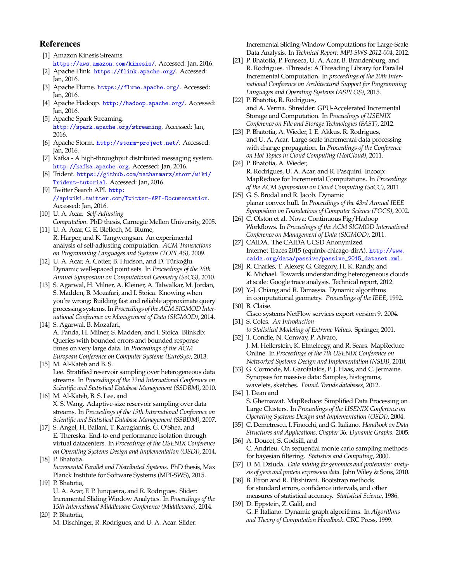# References

- <span id="page-10-21"></span>[1] Amazon Kinesis Streams. <https://aws.amazon.com/kinesis/>. Accessed: Jan, 2016.
- <span id="page-10-0"></span>[2] Apache Flink. <https://flink.apache.org/>. Accessed: Jan, 2016.
- <span id="page-10-20"></span>[3] Apache Flume. <https://flume.apache.org/>. Accessed: Jan, 2016.
- <span id="page-10-29"></span>[4] Apache Hadoop. <http://hadoop.apache.org/>. Accessed: Jan, 2016.
- <span id="page-10-18"></span>[5] Apache Spark Streaming. <http://spark.apache.org/streaming>. Accessed: Jan, 2016.
- <span id="page-10-1"></span>[6] Apache Storm. <http://storm-project.net/>. Accessed: Jan, 2016.
- <span id="page-10-19"></span>[7] Kafka - A high-throughput distributed messaging system. <http://kafka.apache.org>. Accessed: Jan, 2016.
- <span id="page-10-23"></span>[8] Trident. [https://github.com/nathanmarz/storm/wiki/](https://github.com/nathanmarz/storm/wiki/Trident-tutorial) [Trident-tutorial](https://github.com/nathanmarz/storm/wiki/Trident-tutorial). Accessed: Jan, 2016.
- <span id="page-10-32"></span>[9] Twitter Search API. [http:](http://apiwiki.twitter.com/Twitter-API-Documentation) [//apiwiki.twitter.com/Twitter-API-Documentation](http://apiwiki.twitter.com/Twitter-API-Documentation). Accessed: Jan, 2016.
- <span id="page-10-5"></span>[10] U. A. Acar. *Self-Adjusting Computation*. PhD thesis, Carnegie Mellon University, 2005.
- <span id="page-10-28"></span>[11] U. A. Acar, G. E. Blelloch, M. Blume, R. Harper, and K. Tangwongsan. An experimental analysis of self-adjusting computation. *ACM Transactions on Programming Languages and Systems (TOPLAS)*, 2009.
- <span id="page-10-13"></span>[12] U. A. Acar, A. Cotter, B. Hudson, and D. Türkoğlu. Dynamic well-spaced point sets. In *Proceedings of the 26th Annual Symposium on Computational Geometry (SoCG)*, 2010.
- <span id="page-10-38"></span>[13] S. Agarwal, H. Milner, A. Kleiner, A. Talwalkar, M. Jordan, S. Madden, B. Mozafari, and I. Stoica. Knowing when you're wrong: Building fast and reliable approximate query processing systems. In *Proceedings of the ACM SIGMOD International Conference on Management of Data (SIGMOD)*, 2014.
- <span id="page-10-17"></span>[14] S. Agarwal, B. Mozafari, A. Panda, H. Milner, S. Madden, and I. Stoica. Blinkdb: Queries with bounded errors and bounded response times on very large data. In *Proceedings of the ACM European Conference on Computer Systems (EuroSys)*, 2013.
- <span id="page-10-15"></span>[15] M. Al-Kateb and B. S. Lee. Stratified reservoir sampling over heterogeneous data streams. In *Proceedings of the 22nd International Conference on Scientific and Statistical Database Management (SSDBM)*, 2010.
- <span id="page-10-26"></span>[16] M. Al-Kateb, B. S. Lee, and X. S. Wang. Adaptive-size reservoir sampling over data streams. In *Proceedings of the 19th International Conference on Scientific and Statistical Database Management (SSBDM)*, 2007.
- <span id="page-10-35"></span>[17] S. Angel, H. Ballani, T. Karagiannis, G. O'Shea, and E. Thereska. End-to-end performance isolation through virtual datacenters. In *Proceedings of the USENIX Conference on Operating Systems Design and Implementation (OSDI)*, 2014. [18] P. Bhatotia.
- <span id="page-10-6"></span>*Incremental Parallel and Distributed Systems*. PhD thesis, Max Planck Institute for Software Systems (MPI-SWS), 2015. [19] P. Bhatotia,
- <span id="page-10-22"></span><span id="page-10-2"></span>U. A. Acar, F. P. Junqueira, and R. Rodrigues. Slider: Incremental Sliding Window Analytics. In *Proceedings of the 15th International Middleware Conference (Middleware)*, 2014. [20] P. Bhatotia,
	- M. Dischinger, R. Rodrigues, and U. A. Acar. Slider:

Incremental Sliding-Window Computations for Large-Scale Data Analysis. In *Technical Report: MPI-SWS-2012-004*, 2012.

- <span id="page-10-4"></span>[21] P. Bhatotia, P. Fonseca, U. A. Acar, B. Brandenburg, and R. Rodrigues. iThreads: A Threading Library for Parallel Incremental Computation. In *proceedings of the 20th International Conference on Architectural Support for Programming Languages and Operating Systems (ASPLOS)*, 2015.
- <span id="page-10-7"></span>[22] P. Bhatotia, R. Rodrigues, and A. Verma. Shredder: GPU-Accelerated Incremental Storage and Computation. In *Proceedings of USENIX Conference on File and Storage Technologies (FAST)*, 2012.
- <span id="page-10-37"></span>[23] P. Bhatotia, A. Wieder, I. E. Akkus, R. Rodrigues, and U. A. Acar. Large-scale incremental data processing with change propagation. In *Proceedings of the Conference on Hot Topics in Cloud Computing (HotCloud)*, 2011.
- <span id="page-10-8"></span>[24] P. Bhatotia, A. Wieder, R. Rodrigues, U. A. Acar, and R. Pasquini. Incoop: MapReduce for Incremental Computations. In *Proceedings of the ACM Symposium on Cloud Computing (SoCC)*, 2011.
- <span id="page-10-9"></span>[25] G. S. Brodal and R. Jacob. Dynamic planar convex hull. In *Proceedings of the 43rd Annual IEEE Symposium on Foundations of Computer Science (FOCS)*, 2002.
- <span id="page-10-25"></span>[26] C. Olston et al. Nova: Continuous Pig/Hadoop Workflows. In *Proceedings of the ACM SIGMOD International Conference on Management of Data (SIGMOD)*, 2011.
- <span id="page-10-30"></span>[27] CAIDA. The CAIDA UCSD Anonymized Internet Traces 2015 (equinix-chicago-dirA). [http://www.](http://www.caida.org/data/passive/passive_2015_dataset.xml) [caida.org/data/passive/passive\\_2015\\_dataset.xml](http://www.caida.org/data/passive/passive_2015_dataset.xml).
- <span id="page-10-36"></span>[28] R. Charles, T. Alexey, G. Gregory, H. K. Randy, and K. Michael. Towards understanding heterogeneous clouds at scale: Google trace analysis. Technical report, 2012.
- <span id="page-10-10"></span>[29] Y.-J. Chiang and R. Tamassia. Dynamic algorithms in computational geometry. *Proceedings of the IEEE*, 1992. [30] B. Claise.
- <span id="page-10-31"></span><span id="page-10-27"></span>Cisco systems NetFlow services export version 9. 2004. [31] S. Coles. *An Introduction*
- <span id="page-10-24"></span>*to Statistical Modeling of Extreme Values*. Springer, 2001. [32] T. Condie, N. Conway, P. Alvaro,
- J. M. Hellerstein, K. Elmeleegy, and R. Sears. MapReduce Online. In *Proceedings of the 7th USENIX Conference on Networked Systems Design and Implementation (NSDI)*, 2010.
- <span id="page-10-16"></span>[33] G. Cormode, M. Garofalakis, P. J. Haas, and C. Jermaine. Synopses for massive data: Samples, histograms, wavelets, sketches. *Found. Trends databases*, 2012.
- <span id="page-10-3"></span>[34] J. Dean and S. Ghemawat. MapReduce: Simplified Data Processing on Large Clusters. In *Proceedings of the USENIX Conference on Operating Systems Design and Implementation (OSDI)*, 2004.
- <span id="page-10-11"></span>[35] C. Demetrescu, I. Finocchi, and G. Italiano. *Handbook on Data Structures and Applications, Chapter 36: Dynamic Graphs*. 2005.
- <span id="page-10-14"></span>[36] A. Doucet, S. Godsill, and C. Andrieu. On sequential monte carlo sampling methods for bayesian filtering. *Statistics and Computing*, 2000.
- <span id="page-10-33"></span>[37] D. M. Dziuda. *Data mining for genomics and proteomics: analysis of gene and protein expression data*. John Wiley & Sons, 2010.
- <span id="page-10-34"></span>[38] B. Efron and R. Tibshirani. Bootstrap methods for standard errors, confidence intervals, and other measures of statistical accuracy. *Statistical Science*, 1986.
- <span id="page-10-12"></span>[39] D. Eppstein, Z. Galil, and G. F. Italiano. Dynamic graph algorithms. In *Algorithms and Theory of Computation Handbook*. CRC Press, 1999.